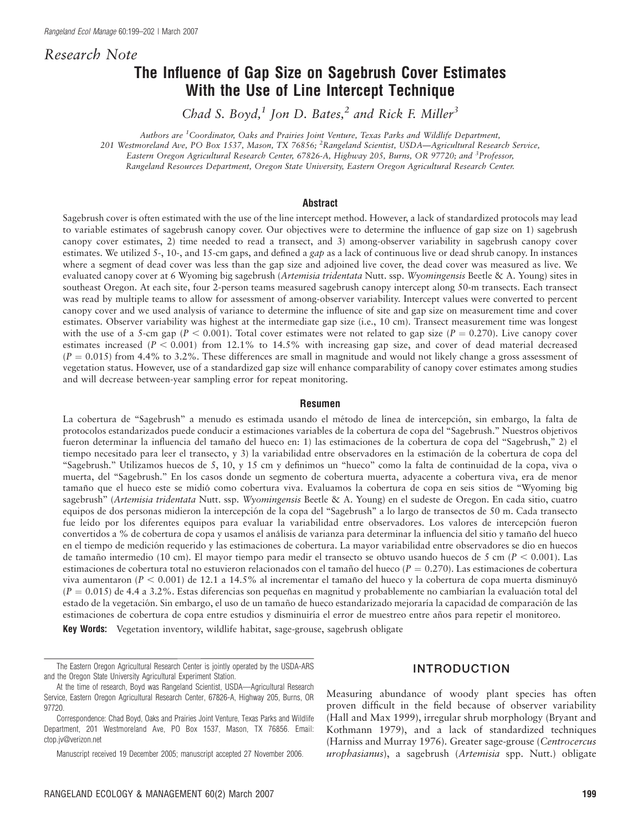Research Note

# The Influence of Gap Size on Sagebrush Cover Estimates With the Use of Line Intercept Technique

Chad S. Boyd,<sup>1</sup> Jon D. Bates,<sup>2</sup> and Rick F. Miller<sup>3</sup>

Authors are <sup>1</sup>Coordinator, Oaks and Prairies Joint Venture, Texas Parks and Wildlife Department,

201 Westmoreland Ave, PO Box 1537, Mason, TX 76856; <sup>2</sup> Rangeland Scientist, USDA—Agricultural Research Service,

Eastern Oregon Agricultural Research Center, 67826-A, Highway 205, Burns, OR 97720; and <sup>3</sup>Professor,

Rangeland Resources Department, Oregon State University, Eastern Oregon Agricultural Research Center.

#### Abstract

Sagebrush cover is often estimated with the use of the line intercept method. However, a lack of standardized protocols may lead to variable estimates of sagebrush canopy cover. Our objectives were to determine the influence of gap size on 1) sagebrush canopy cover estimates, 2) time needed to read a transect, and 3) among-observer variability in sagebrush canopy cover estimates. We utilized 5-, 10-, and 15-cm gaps, and defined a gap as a lack of continuous live or dead shrub canopy. In instances where a segment of dead cover was less than the gap size and adjoined live cover, the dead cover was measured as live. We evaluated canopy cover at 6 Wyoming big sagebrush (Artemisia tridentata Nutt. ssp. Wyomingensis Beetle & A. Young) sites in southeast Oregon. At each site, four 2-person teams measured sagebrush canopy intercept along 50-m transects. Each transect was read by multiple teams to allow for assessment of among-observer variability. Intercept values were converted to percent canopy cover and we used analysis of variance to determine the influence of site and gap size on measurement time and cover estimates. Observer variability was highest at the intermediate gap size (i.e., 10 cm). Transect measurement time was longest with the use of a 5-cm gap ( $P < 0.001$ ). Total cover estimates were not related to gap size ( $P = 0.270$ ). Live canopy cover estimates increased ( $P < 0.001$ ) from 12.1% to 14.5% with increasing gap size, and cover of dead material decreased  $(P = 0.015)$  from 4.4% to 3.2%. These differences are small in magnitude and would not likely change a gross assessment of vegetation status. However, use of a standardized gap size will enhance comparability of canopy cover estimates among studies and will decrease between-year sampling error for repeat monitoring.

#### Resumen

La cobertura de "Sagebrush" a menudo es estimada usando el método de línea de intercepción, sin embargo, la falta de protocolos estandarizados puede conducir a estimaciones variables de la cobertura de copa del ''Sagebrush.'' Nuestros objetivos fueron determinar la influencia del tamaño del hueco en: 1) las estimaciones de la cobertura de copa del "Sagebrush," 2) el tiempo necesitado para leer el transecto, y 3) la variabilidad entre observadores en la estimación de la cobertura de copa del ''Sagebrush.'' Utilizamos huecos de 5, 10, y 15 cm y definimos un ''hueco'' como la falta de continuidad de la copa, viva o muerta, del ''Sagebrush.'' En los casos donde un segmento de cobertura muerta, adyacente a cobertura viva, era de menor tamaño que el hueco este se midió como cobertura viva. Evaluamos la cobertura de copa en seis sitios de "Wyoming big sagebrush" (Artemisia tridentata Nutt. ssp. Wyomingensis Beetle & A. Young) en el sudeste de Oregon. En cada sitio, cuatro equipos de dos personas midieron la intercepción de la copa del "Sagebrush" a lo largo de transectos de 50 m. Cada transecto fue leído por los diferentes equipos para evaluar la variabilidad entre observadores. Los valores de intercepción fueron convertidos a % de cobertura de copa y usamos el análisis de varianza para determinar la influencia del sitio y tamaño del hueco en el tiempo de medicio´n requerido y las estimaciones de cobertura. La mayor variabilidad entre observadores se dio en huecos de tamaño intermedio (10 cm). El mayor tiempo para medir el transecto se obtuvo usando huecos de 5 cm ( $P < 0.001$ ). Las estimaciones de cobertura total no estuvieron relacionados con el tamaño del hueco ( $P = 0.270$ ). Las estimaciones de cobertura viva aumentaron ( $P < 0.001$ ) de 12.1 a 14.5% al incrementar el tamaño del hueco y la cobertura de copa muerta disminuyó  $(P = 0.015)$  de 4.4 a 3.2%. Estas diferencias son pequeñas en magnitud y probablemente no cambiarían la evaluación total del estado de la vegetación. Sin embargo, el uso de un tamaño de hueco estandarizado mejoraría la capacidad de comparación de las estimaciones de cobertura de copa entre estudios y disminuiría el error de muestreo entre años para repetir el monitoreo.

Key Words: Vegetation inventory, wildlife habitat, sage-grouse, sagebrush obligate

INTRODUCTION

Measuring abundance of woody plant species has often proven difficult in the field because of observer variability (Hall and Max 1999), irregular shrub morphology (Bryant and Kothmann 1979), and a lack of standardized techniques (Harniss and Murray 1976). Greater sage-grouse (Centrocercus urophasianus), a sagebrush (Artemisia spp. Nutt.) obligate

The Eastern Oregon Agricultural Research Center is jointly operated by the USDA-ARS and the Oregon State University Agricultural Experiment Station.

At the time of research, Boyd was Rangeland Scientist, USDA—Agricultural Research Service, Eastern Oregon Agricultural Research Center, 67826-A, Highway 205, Burns, OR 97720.

Correspondence: Chad Boyd, Oaks and Prairies Joint Venture, Texas Parks and Wildlife Department, 201 Westmoreland Ave, PO Box 1537, Mason, TX 76856. Email: ctop.jv@verizon.net

Manuscript received 19 December 2005; manuscript accepted 27 November 2006.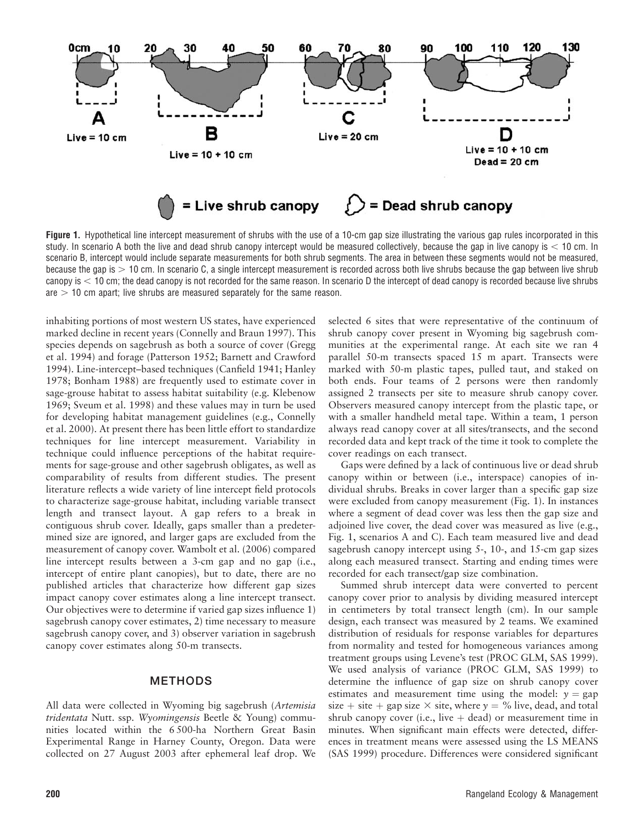

Figure 1. Hypothetical line intercept measurement of shrubs with the use of a 10-cm gap size illustrating the various gap rules incorporated in this study. In scenario A both the live and dead shrub canopy intercept would be measured collectively, because the gap in live canopy is  $<$  10 cm. In scenario B, intercept would include separate measurements for both shrub segments. The area in between these segments would not be measured, because the gap is  $> 10$  cm. In scenario C, a single intercept measurement is recorded across both live shrubs because the gap between live shrub canopy is  $<$  10 cm; the dead canopy is not recorded for the same reason. In scenario D the intercept of dead canopy is recorded because live shrubs are  $>$  10 cm apart; live shrubs are measured separately for the same reason.

inhabiting portions of most western US states, have experienced marked decline in recent years (Connelly and Braun 1997). This species depends on sagebrush as both a source of cover (Gregg et al. 1994) and forage (Patterson 1952; Barnett and Crawford 1994). Line-intercept–based techniques (Canfield 1941; Hanley 1978; Bonham 1988) are frequently used to estimate cover in sage-grouse habitat to assess habitat suitability (e.g. Klebenow 1969; Sveum et al. 1998) and these values may in turn be used for developing habitat management guidelines (e.g., Connelly et al. 2000). At present there has been little effort to standardize techniques for line intercept measurement. Variability in technique could influence perceptions of the habitat requirements for sage-grouse and other sagebrush obligates, as well as comparability of results from different studies. The present literature reflects a wide variety of line intercept field protocols to characterize sage-grouse habitat, including variable transect length and transect layout. A gap refers to a break in contiguous shrub cover. Ideally, gaps smaller than a predetermined size are ignored, and larger gaps are excluded from the measurement of canopy cover. Wambolt et al. (2006) compared line intercept results between a 3-cm gap and no gap (i.e., intercept of entire plant canopies), but to date, there are no published articles that characterize how different gap sizes impact canopy cover estimates along a line intercept transect. Our objectives were to determine if varied gap sizes influence 1) sagebrush canopy cover estimates, 2) time necessary to measure sagebrush canopy cover, and 3) observer variation in sagebrush canopy cover estimates along 50-m transects.

### **METHODS**

All data were collected in Wyoming big sagebrush (Artemisia tridentata Nutt. ssp. Wyomingensis Beetle & Young) communities located within the 6 500-ha Northern Great Basin Experimental Range in Harney County, Oregon. Data were collected on 27 August 2003 after ephemeral leaf drop. We selected 6 sites that were representative of the continuum of shrub canopy cover present in Wyoming big sagebrush communities at the experimental range. At each site we ran 4 parallel 50-m transects spaced 15 m apart. Transects were marked with 50-m plastic tapes, pulled taut, and staked on both ends. Four teams of 2 persons were then randomly assigned 2 transects per site to measure shrub canopy cover. Observers measured canopy intercept from the plastic tape, or with a smaller handheld metal tape. Within a team, 1 person always read canopy cover at all sites/transects, and the second recorded data and kept track of the time it took to complete the cover readings on each transect.

Gaps were defined by a lack of continuous live or dead shrub canopy within or between (i.e., interspace) canopies of individual shrubs. Breaks in cover larger than a specific gap size were excluded from canopy measurement (Fig. 1). In instances where a segment of dead cover was less then the gap size and adjoined live cover, the dead cover was measured as live (e.g., Fig. 1, scenarios A and C). Each team measured live and dead sagebrush canopy intercept using 5-, 10-, and 15-cm gap sizes along each measured transect. Starting and ending times were recorded for each transect/gap size combination.

Summed shrub intercept data were converted to percent canopy cover prior to analysis by dividing measured intercept in centimeters by total transect length (cm). In our sample design, each transect was measured by 2 teams. We examined distribution of residuals for response variables for departures from normality and tested for homogeneous variances among treatment groups using Levene's test (PROC GLM, SAS 1999). We used analysis of variance (PROC GLM, SAS 1999) to determine the influence of gap size on shrub canopy cover estimates and measurement time using the model:  $y = gap$ size + site + gap size  $\times$  site, where  $y = \%$  live, dead, and total shrub canopy cover (i.e., live  $+$  dead) or measurement time in minutes. When significant main effects were detected, differences in treatment means were assessed using the LS MEANS (SAS 1999) procedure. Differences were considered significant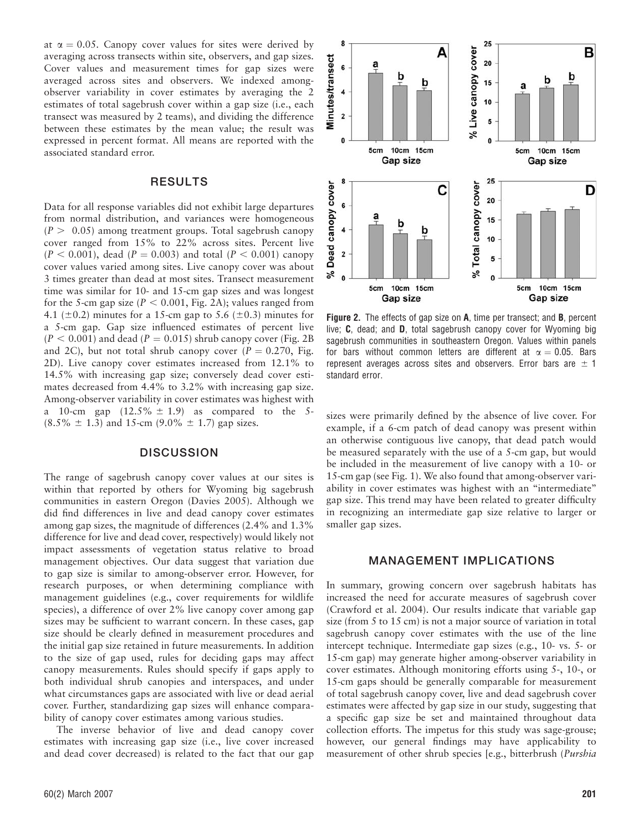at  $\alpha = 0.05$ . Canopy cover values for sites were derived by averaging across transects within site, observers, and gap sizes. Cover values and measurement times for gap sizes were averaged across sites and observers. We indexed amongobserver variability in cover estimates by averaging the 2 estimates of total sagebrush cover within a gap size (i.e., each transect was measured by 2 teams), and dividing the difference between these estimates by the mean value; the result was expressed in percent format. All means are reported with the associated standard error.

#### RESULTS

Data for all response variables did not exhibit large departures from normal distribution, and variances were homogeneous  $(P > 0.05)$  among treatment groups. Total sagebrush canopy cover ranged from 15% to 22% across sites. Percent live  $(P < 0.001)$ , dead  $(P = 0.003)$  and total  $(P < 0.001)$  canopy cover values varied among sites. Live canopy cover was about 3 times greater than dead at most sites. Transect measurement time was similar for 10- and 15-cm gap sizes and was longest for the 5-cm gap size ( $P < 0.001$ , Fig. 2A); values ranged from 4.1 ( $\pm$ 0.2) minutes for a 15-cm gap to 5.6 ( $\pm$ 0.3) minutes for a 5-cm gap. Gap size influenced estimates of percent live  $(P < 0.001)$  and dead  $(P = 0.015)$  shrub canopy cover (Fig. 2B) and 2C), but not total shrub canopy cover ( $P = 0.270$ , Fig. 2D). Live canopy cover estimates increased from 12.1% to 14.5% with increasing gap size; conversely dead cover estimates decreased from 4.4% to 3.2% with increasing gap size. Among-observer variability in cover estimates was highest with a 10-cm gap  $(12.5\% \pm 1.9)$  as compared to the 5- $(8.5\% \pm 1.3)$  and 15-cm  $(9.0\% \pm 1.7)$  gap sizes.

## **DISCUSSION**

The range of sagebrush canopy cover values at our sites is within that reported by others for Wyoming big sagebrush communities in eastern Oregon (Davies 2005). Although we did find differences in live and dead canopy cover estimates among gap sizes, the magnitude of differences (2.4% and 1.3% difference for live and dead cover, respectively) would likely not impact assessments of vegetation status relative to broad management objectives. Our data suggest that variation due to gap size is similar to among-observer error. However, for research purposes, or when determining compliance with management guidelines (e.g., cover requirements for wildlife species), a difference of over 2% live canopy cover among gap sizes may be sufficient to warrant concern. In these cases, gap size should be clearly defined in measurement procedures and the initial gap size retained in future measurements. In addition to the size of gap used, rules for deciding gaps may affect canopy measurements. Rules should specify if gaps apply to both individual shrub canopies and interspaces, and under what circumstances gaps are associated with live or dead aerial cover. Further, standardizing gap sizes will enhance comparability of canopy cover estimates among various studies.

The inverse behavior of live and dead canopy cover estimates with increasing gap size (i.e., live cover increased and dead cover decreased) is related to the fact that our gap



Figure 2. The effects of gap size on A, time per transect; and B, percent live; C, dead; and D, total sagebrush canopy cover for Wyoming big sagebrush communities in southeastern Oregon. Values within panels for bars without common letters are different at  $\alpha = 0.05$ . Bars represent averages across sites and observers. Error bars are  $\pm$  1 standard error.

sizes were primarily defined by the absence of live cover. For example, if a 6-cm patch of dead canopy was present within an otherwise contiguous live canopy, that dead patch would be measured separately with the use of a 5-cm gap, but would be included in the measurement of live canopy with a 10- or 15-cm gap (see Fig. 1). We also found that among-observer variability in cover estimates was highest with an ''intermediate'' gap size. This trend may have been related to greater difficulty in recognizing an intermediate gap size relative to larger or smaller gap sizes.

### MANAGEMENT IMPLICATIONS

In summary, growing concern over sagebrush habitats has increased the need for accurate measures of sagebrush cover (Crawford et al. 2004). Our results indicate that variable gap size (from 5 to 15 cm) is not a major source of variation in total sagebrush canopy cover estimates with the use of the line intercept technique. Intermediate gap sizes (e.g., 10- vs. 5- or 15-cm gap) may generate higher among-observer variability in cover estimates. Although monitoring efforts using 5-, 10-, or 15-cm gaps should be generally comparable for measurement of total sagebrush canopy cover, live and dead sagebrush cover estimates were affected by gap size in our study, suggesting that a specific gap size be set and maintained throughout data collection efforts. The impetus for this study was sage-grouse; however, our general findings may have applicability to measurement of other shrub species [e.g., bitterbrush (Purshia